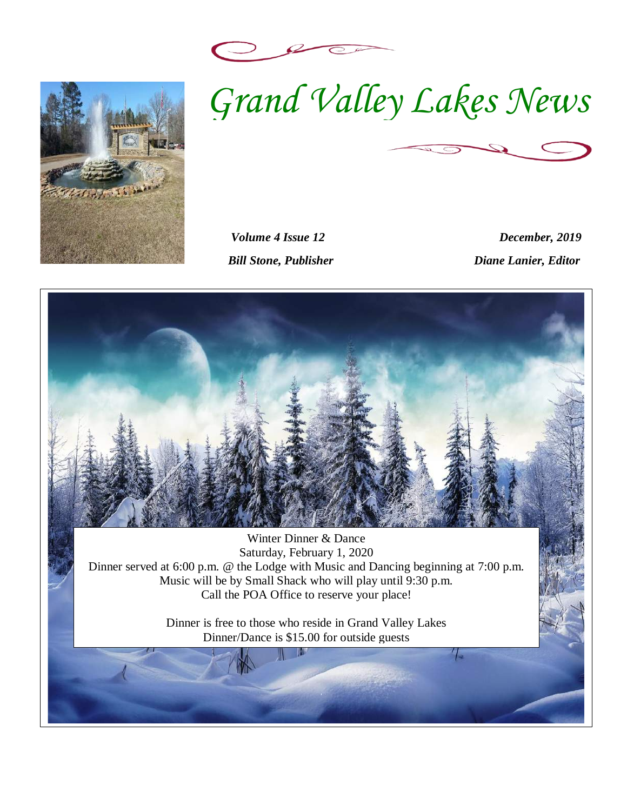



*Volume 4 Issue 12 December, 2019 Bill Stone, Publisher Diane Lanier, Editor* 

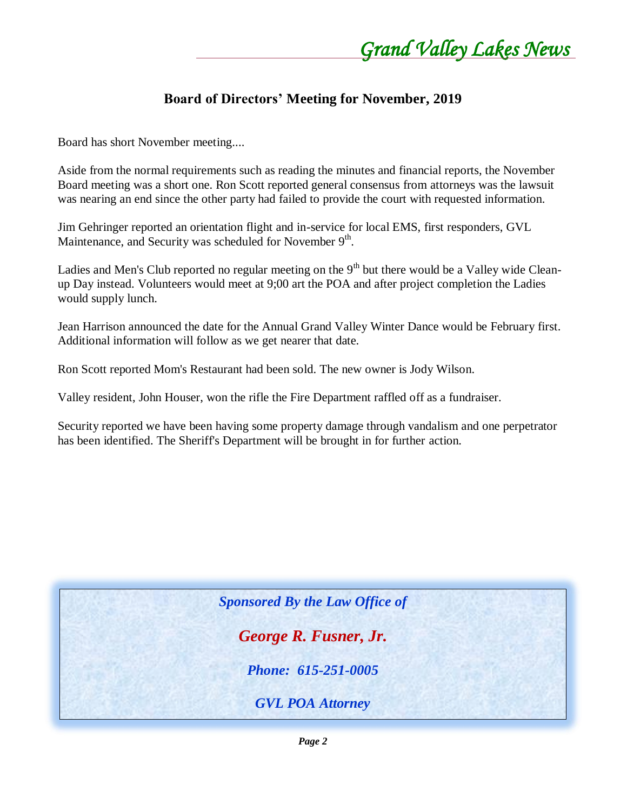### **Board of Directors' Meeting for November, 2019**

Board has short November meeting....

Aside from the normal requirements such as reading the minutes and financial reports, the November Board meeting was a short one. Ron Scott reported general consensus from attorneys was the lawsuit was nearing an end since the other party had failed to provide the court with requested information.

Jim Gehringer reported an orientation flight and in-service for local EMS, first responders, GVL Maintenance, and Security was scheduled for November 9<sup>th</sup>.

Ladies and Men's Club reported no regular meeting on the 9<sup>th</sup> but there would be a Valley wide Cleanup Day instead. Volunteers would meet at 9;00 art the POA and after project completion the Ladies would supply lunch.

Jean Harrison announced the date for the Annual Grand Valley Winter Dance would be February first. Additional information will follow as we get nearer that date.

Ron Scott reported Mom's Restaurant had been sold. The new owner is Jody Wilson.

Valley resident, John Houser, won the rifle the Fire Department raffled off as a fundraiser.

Security reported we have been having some property damage through vandalism and one perpetrator has been identified. The Sheriff's Department will be brought in for further action.

*Sponsored By the Law Office of* 

*George R. Fusner, Jr.*

*Phone: 615-251-0005*

*GVL POA Attorney*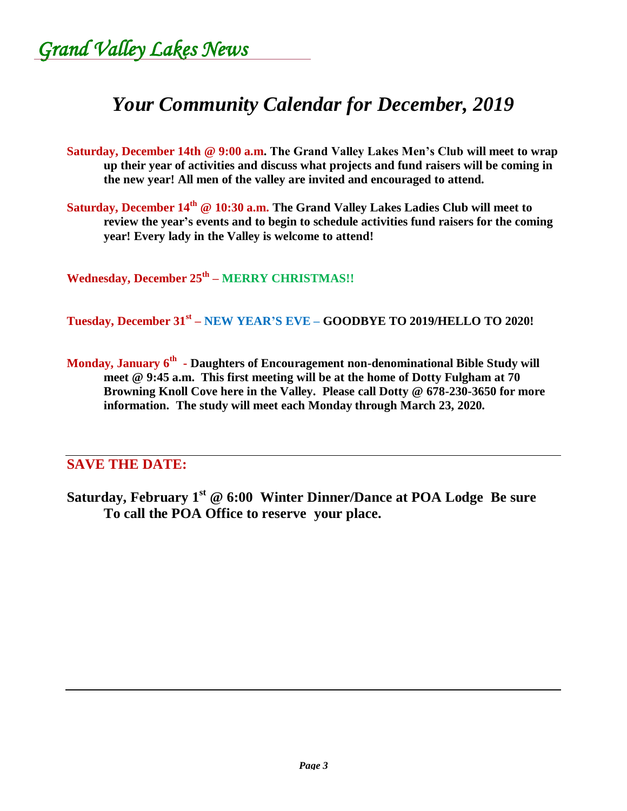*Grand Valley Lakes News* 

# *Your Community Calendar for December, 2019*

- **Saturday, December 14th @ 9:00 a.m. The Grand Valley Lakes Men's Club will meet to wrap up their year of activities and discuss what projects and fund raisers will be coming in the new year! All men of the valley are invited and encouraged to attend.**
- **Saturday, December 14th @ 10:30 a.m. The Grand Valley Lakes Ladies Club will meet to review the year's events and to begin to schedule activities fund raisers for the coming year! Every lady in the Valley is welcome to attend!**

**Wednesday, December 25th – MERRY CHRISTMAS!!**

**Tuesday, December 31st – NEW YEAR'S EVE – GOODBYE TO 2019/HELLO TO 2020!**

**Monday, January 6th - Daughters of Encouragement non-denominational Bible Study will meet @ 9:45 a.m. This first meeting will be at the home of Dotty Fulgham at 70 Browning Knoll Cove here in the Valley. Please call Dotty @ 678-230-3650 for more information. The study will meet each Monday through March 23, 2020.**

### **SAVE THE DATE:**

**Saturday, February 1st @ 6:00 Winter Dinner/Dance at POA Lodge Be sure To call the POA Office to reserve your place.**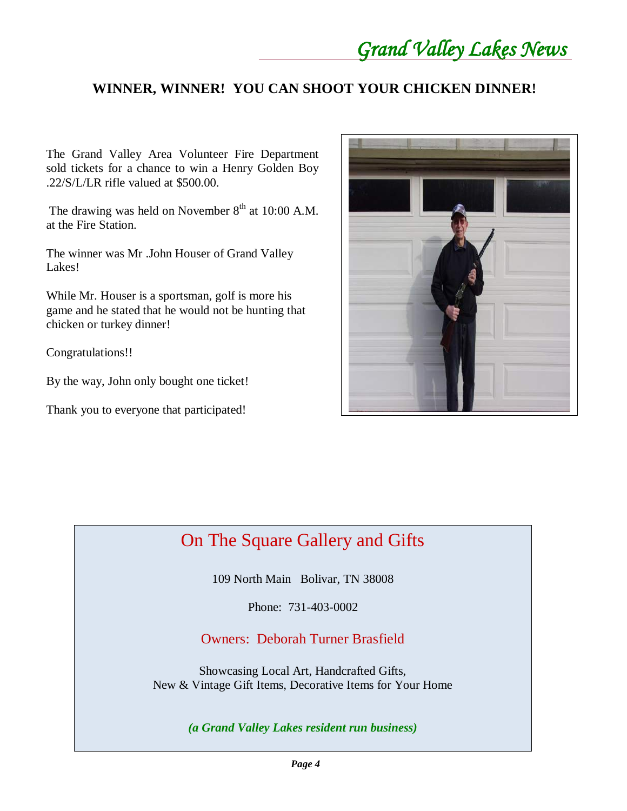## **WINNER, WINNER! YOU CAN SHOOT YOUR CHICKEN DINNER!**

The Grand Valley Area Volunteer Fire Department sold tickets for a chance to win a Henry Golden Boy .22/S/L/LR rifle valued at \$500.00.

The drawing was held on November  $8<sup>th</sup>$  at 10:00 A.M. at the Fire Station.

The winner was Mr .John Houser of Grand Valley Lakes!

While Mr. Houser is a sportsman, golf is more his game and he stated that he would not be hunting that chicken or turkey dinner!

Congratulations!!

By the way, John only bought one ticket!

Thank you to everyone that participated!



# On The Square Gallery and Gifts

109 North Main Bolivar, TN 38008

Phone: 731-403-0002

### Owners: Deborah Turner Brasfield

Showcasing Local Art, Handcrafted Gifts, New & Vintage Gift Items, Decorative Items for Your Home

*(a Grand Valley Lakes resident run business)*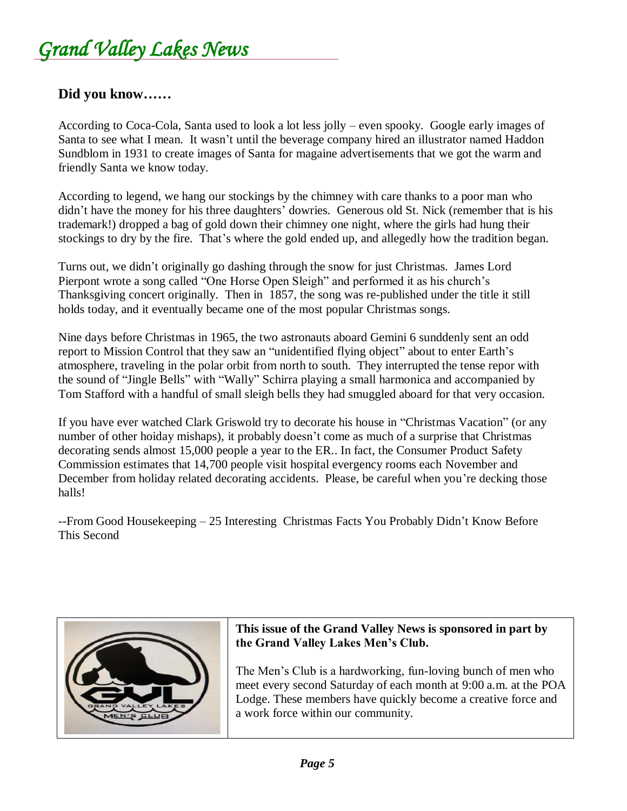### **Did you know……**

According to Coca-Cola, Santa used to look a lot less jolly – even spooky. Google early images of Santa to see what I mean. It wasn't until the beverage company hired an illustrator named Haddon Sundblom in 1931 to create images of Santa for magaine advertisements that we got the warm and friendly Santa we know today.

According to legend, we hang our stockings by the chimney with care thanks to a poor man who didn't have the money for his three daughters' dowries. Generous old St. Nick (remember that is his trademark!) dropped a bag of gold down their chimney one night, where the girls had hung their stockings to dry by the fire. That's where the gold ended up, and allegedly how the tradition began.

Turns out, we didn't originally go dashing through the snow for just Christmas. James Lord Pierpont wrote a song called "One Horse Open Sleigh" and performed it as his church's Thanksgiving concert originally. Then in 1857, the song was re-published under the title it still holds today, and it eventually became one of the most popular Christmas songs.

Nine days before Christmas in 1965, the two astronauts aboard Gemini 6 sunddenly sent an odd report to Mission Control that they saw an "unidentified flying object" about to enter Earth's atmosphere, traveling in the polar orbit from north to south. They interrupted the tense repor with the sound of "Jingle Bells" with "Wally" Schirra playing a small harmonica and accompanied by Tom Stafford with a handful of small sleigh bells they had smuggled aboard for that very occasion.

If you have ever watched Clark Griswold try to decorate his house in "Christmas Vacation" (or any number of other hoiday mishaps), it probably doesn't come as much of a surprise that Christmas decorating sends almost 15,000 people a year to the ER.. In fact, the Consumer Product Safety Commission estimates that 14,700 people visit hospital evergency rooms each November and December from holiday related decorating accidents. Please, be careful when you're decking those halls!

--From Good Housekeeping – 25 Interesting Christmas Facts You Probably Didn't Know Before This Second



### **This issue of the Grand Valley News is sponsored in part by the Grand Valley Lakes Men's Club.**

The Men's Club is a hardworking, fun-loving bunch of men who meet every second Saturday of each month at 9:00 a.m. at the POA Lodge. These members have quickly become a creative force and a work force within our community.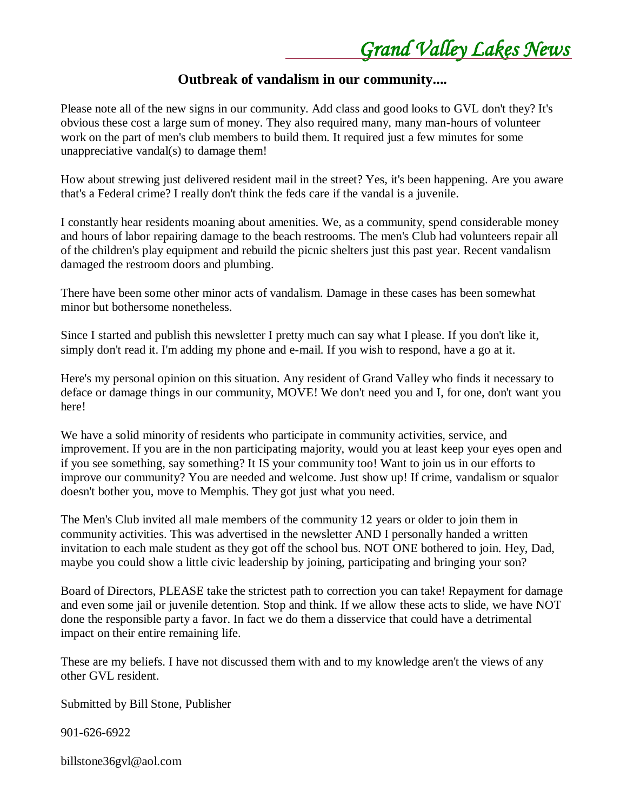### **Outbreak of vandalism in our community....**

Please note all of the new signs in our community. Add class and good looks to GVL don't they? It's obvious these cost a large sum of money. They also required many, many man-hours of volunteer work on the part of men's club members to build them. It required just a few minutes for some unappreciative vandal(s) to damage them!

How about strewing just delivered resident mail in the street? Yes, it's been happening. Are you aware that's a Federal crime? I really don't think the feds care if the vandal is a juvenile.

I constantly hear residents moaning about amenities. We, as a community, spend considerable money and hours of labor repairing damage to the beach restrooms. The men's Club had volunteers repair all of the children's play equipment and rebuild the picnic shelters just this past year. Recent vandalism damaged the restroom doors and plumbing.

There have been some other minor acts of vandalism. Damage in these cases has been somewhat minor but bothersome nonetheless.

Since I started and publish this newsletter I pretty much can say what I please. If you don't like it, simply don't read it. I'm adding my phone and e-mail. If you wish to respond, have a go at it.

Here's my personal opinion on this situation. Any resident of Grand Valley who finds it necessary to deface or damage things in our community, MOVE! We don't need you and I, for one, don't want you here!

We have a solid minority of residents who participate in community activities, service, and improvement. If you are in the non participating majority, would you at least keep your eyes open and if you see something, say something? It IS your community too! Want to join us in our efforts to improve our community? You are needed and welcome. Just show up! If crime, vandalism or squalor doesn't bother you, move to Memphis. They got just what you need.

The Men's Club invited all male members of the community 12 years or older to join them in community activities. This was advertised in the newsletter AND I personally handed a written invitation to each male student as they got off the school bus. NOT ONE bothered to join. Hey, Dad, maybe you could show a little civic leadership by joining, participating and bringing your son?

Board of Directors, PLEASE take the strictest path to correction you can take! Repayment for damage and even some jail or juvenile detention. Stop and think. If we allow these acts to slide, we have NOT done the responsible party a favor. In fact we do them a disservice that could have a detrimental impact on their entire remaining life.

These are my beliefs. I have not discussed them with and to my knowledge aren't the views of any other GVL resident.

Submitted by Bill Stone, Publisher

901-626-6922

billstone36gvl@aol.com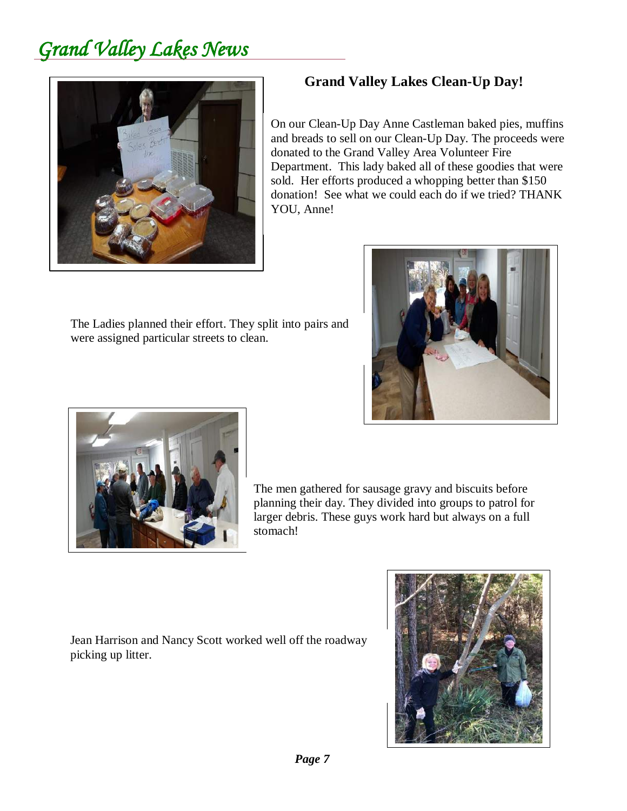

### **Grand Valley Lakes Clean-Up Day!**

On our Clean-Up Day Anne Castleman baked pies, muffins and breads to sell on our Clean-Up Day. The proceeds were donated to the Grand Valley Area Volunteer Fire Department. This lady baked all of these goodies that were sold. Her efforts produced a whopping better than \$150 donation! See what we could each do if we tried? THANK YOU, Anne!



The Ladies planned their effort. They split into pairs and were assigned particular streets to clean.



The men gathered for sausage gravy and biscuits before planning their day. They divided into groups to patrol for larger debris. These guys work hard but always on a full stomach!

Jean Harrison and Nancy Scott worked well off the roadway picking up litter.

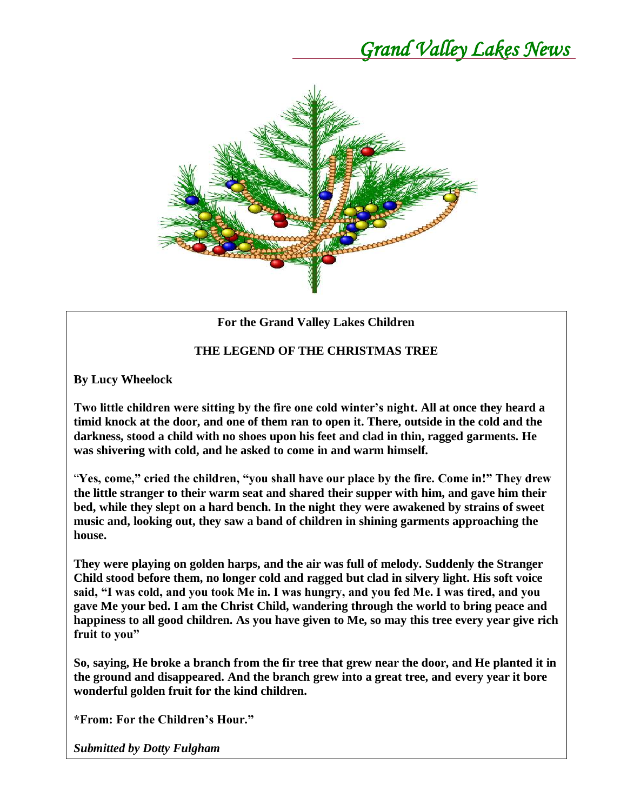

### **For the Grand Valley Lakes Children**

#### **THE LEGEND OF THE CHRISTMAS TREE**

**By Lucy Wheelock**

**Two little children were sitting by the fire one cold winter's night. All at once they heard a timid knock at the door, and one of them ran to open it. There, outside in the cold and the darkness, stood a child with no shoes upon his feet and clad in thin, ragged garments. He was shivering with cold, and he asked to come in and warm himself.**

"**Yes, come," cried the children, "you shall have our place by the fire. Come in!" They drew the little stranger to their warm seat and shared their supper with him, and gave him their bed, while they slept on a hard bench. In the night they were awakened by strains of sweet music and, looking out, they saw a band of children in shining garments approaching the house.**

**They were playing on golden harps, and the air was full of melody. Suddenly the Stranger Child stood before them, no longer cold and ragged but clad in silvery light. His soft voice said, "I was cold, and you took Me in. I was hungry, and you fed Me. I was tired, and you gave Me your bed. I am the Christ Child, wandering through the world to bring peace and happiness to all good children. As you have given to Me, so may this tree every year give rich fruit to you"**

**So, saying, He broke a branch from the fir tree that grew near the door, and He planted it in the ground and disappeared. And the branch grew into a great tree, and every year it bore wonderful golden fruit for the kind children.**

**\*From: For the Children's Hour."**

*Submitted by Dotty Fulgham*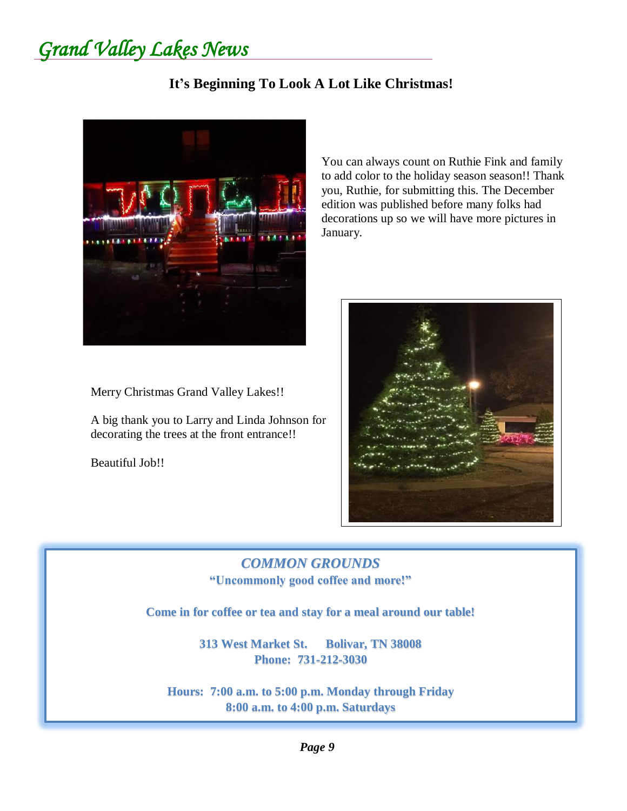*Grand Valley Lakes News* 

### **It's Beginning To Look A Lot Like Christmas!**



You can always count on Ruthie Fink and family to add color to the holiday season season!! Thank you, Ruthie, for submitting this. The December edition was published before many folks had decorations up so we will have more pictures in January.



Merry Christmas Grand Valley Lakes!!

A big thank you to Larry and Linda Johnson for decorating the trees at the front entrance!!

Beautiful Job!!

### *COMMON GROUNDS* **"Uncommonly good coffee and more!"**

**Come in for coffee or tea and stay for a meal around our table!**

**313 West Market St. Bolivar, TN 38008 Phone: 731-212-3030**

**Hours: 7:00 a.m. to 5:00 p.m. Monday through Friday 8:00 a.m. to 4:00 p.m. Saturdays**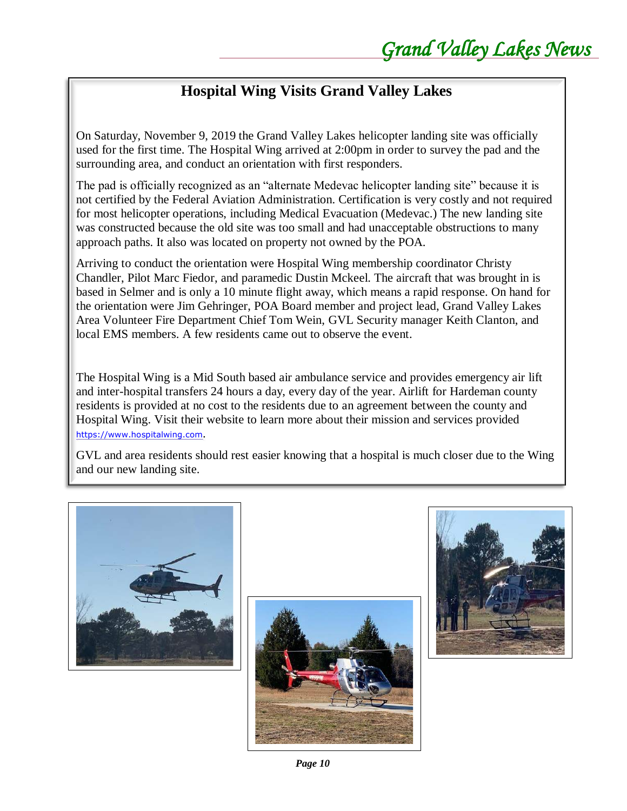### **Hospital Wing Visits Grand Valley Lakes**

On Saturday, November 9, 2019 the Grand Valley Lakes helicopter landing site was officially used for the first time. The Hospital Wing arrived at 2:00pm in order to survey the pad and the surrounding area, and conduct an orientation with first responders.

The pad is officially recognized as an "alternate Medevac helicopter landing site" because it is not certified by the Federal Aviation Administration. Certification is very costly and not required for most helicopter operations, including Medical Evacuation (Medevac.) The new landing site was constructed because the old site was too small and had unacceptable obstructions to many approach paths. It also was located on property not owned by the POA.

Arriving to conduct the orientation were Hospital Wing membership coordinator Christy Chandler, Pilot Marc Fiedor, and paramedic Dustin Mckeel. The aircraft that was brought in is based in Selmer and is only a 10 minute flight away, which means a rapid response. On hand for the orientation were Jim Gehringer, POA Board member and project lead, Grand Valley Lakes Area Volunteer Fire Department Chief Tom Wein, GVL Security manager Keith Clanton, and local EMS members. A few residents came out to observe the event.

The Hospital Wing is a Mid South based air ambulance service and provides emergency air lift and inter-hospital transfers 24 hours a day, every day of the year. Airlift for Hardeman county residents is provided at no cost to the residents due to an agreement between the county and Hospital Wing. Visit their website to learn more about their mission and services provided [https://www.hospitalwing.com](https://www.hospitalwing.com/).

GVL and area residents should rest easier knowing that a hospital is much closer due to the Wing and our new landing site.







*Page 10*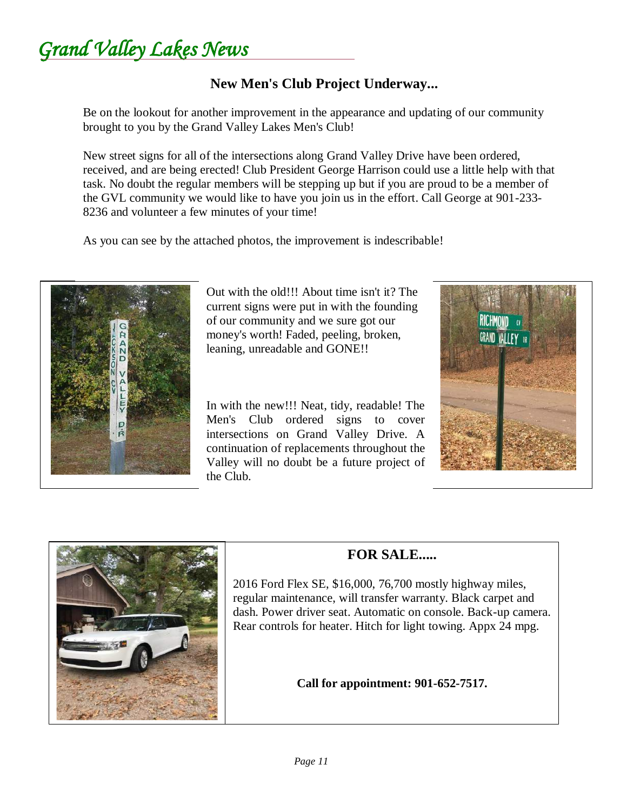*Grand Valley Lakes News* 

### **New Men's Club Project Underway...**

Be on the lookout for another improvement in the appearance and updating of our community brought to you by the Grand Valley Lakes Men's Club!

New street signs for all of the intersections along Grand Valley Drive have been ordered, received, and are being erected! Club President George Harrison could use a little help with that task. No doubt the regular members will be stepping up but if you are proud to be a member of the GVL community we would like to have you join us in the effort. Call George at 901-233- 8236 and volunteer a few minutes of your time!

As you can see by the attached photos, the improvement is indescribable!



Out with the old!!! About time isn't it? The current signs were put in with the founding of our community and we sure got our money's worth! Faded, peeling, broken, leaning, unreadable and GONE!!

In with the new!!! Neat, tidy, readable! The Men's Club ordered signs to cover intersections on Grand Valley Drive. A continuation of replacements throughout the Valley will no doubt be a future project of the Club.





### **FOR SALE.....**

2016 Ford Flex SE, \$16,000, 76,700 mostly highway miles, regular maintenance, will transfer warranty. Black carpet and dash. Power driver seat. Automatic on console. Back-up camera. Rear controls for heater. Hitch for light towing. Appx 24 mpg.

**Call for appointment: 901-652-7517.**